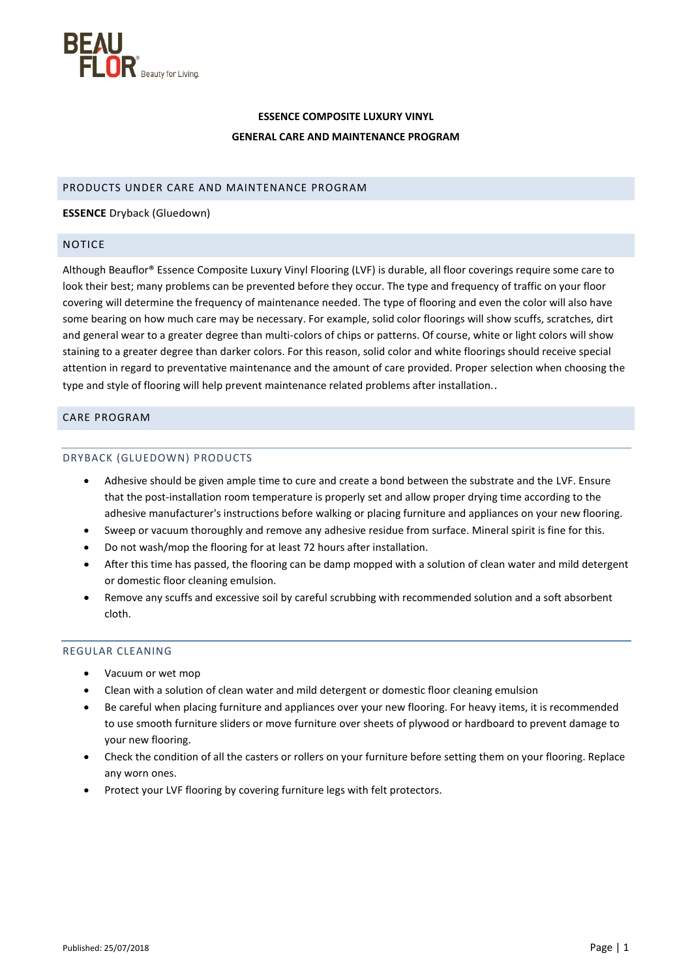

# **ESSENCE COMPOSITE LUXURY VINYL GENERAL CARE AND MAINTENANCE PROGRAM**

# PRODUCTS UNDER CARE AND MAINTENANCE PROGRAM

### **ESSENCE** Dryback (Gluedown)

### NOTICE

Although Beauflor® Essence Composite Luxury Vinyl Flooring (LVF) is durable, all floor coverings require some care to look their best; many problems can be prevented before they occur. The type and frequency of traffic on your floor covering will determine the frequency of maintenance needed. The type of flooring and even the color will also have some bearing on how much care may be necessary. For example, solid color floorings will show scuffs, scratches, dirt and general wear to a greater degree than multi-colors of chips or patterns. Of course, white or light colors will show staining to a greater degree than darker colors. For this reason, solid color and white floorings should receive special attention in regard to preventative maintenance and the amount of care provided. Proper selection when choosing the type and style of flooring will help prevent maintenance related problems after installation..

# CARE PROGRAM

# DRYBACK (GLUEDOWN) PRODUCTS

- Adhesive should be given ample time to cure and create a bond between the substrate and the LVF. Ensure that the post-installation room temperature is properly set and allow proper drying time according to the adhesive manufacturer's instructions before walking or placing furniture and appliances on your new flooring.
- Sweep or vacuum thoroughly and remove any adhesive residue from surface. Mineral spirit is fine for this.
- Do not wash/mop the flooring for at least 72 hours after installation.
- After this time has passed, the flooring can be damp mopped with a solution of clean water and mild detergent or domestic floor cleaning emulsion.
- Remove any scuffs and excessive soil by careful scrubbing with recommended solution and a soft absorbent cloth.

# REGULAR CLEANING

- Vacuum or wet mop
- Clean with a solution of clean water and mild detergent or domestic floor cleaning emulsion
- Be careful when placing furniture and appliances over your new flooring. For heavy items, it is recommended to use smooth furniture sliders or move furniture over sheets of plywood or hardboard to prevent damage to your new flooring.
- Check the condition of all the casters or rollers on your furniture before setting them on your flooring. Replace any worn ones.
- Protect your LVF flooring by covering furniture legs with felt protectors.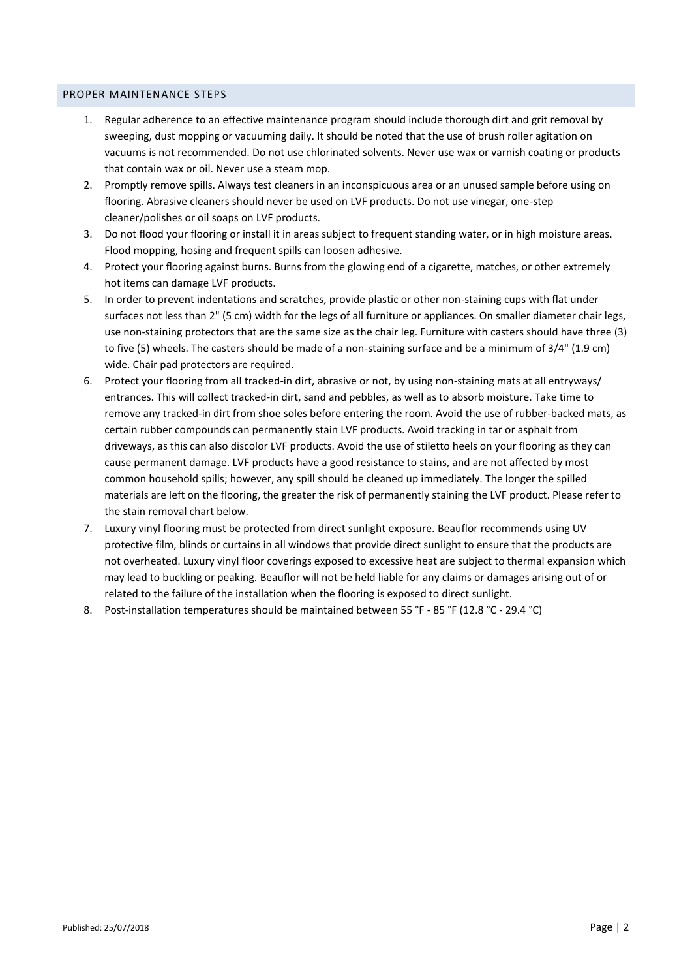#### PROPER MAINTENANCE STEPS

- 1. Regular adherence to an effective maintenance program should include thorough dirt and grit removal by sweeping, dust mopping or vacuuming daily. It should be noted that the use of brush roller agitation on vacuums is not recommended. Do not use chlorinated solvents. Never use wax or varnish coating or products that contain wax or oil. Never use a steam mop.
- 2. Promptly remove spills. Always test cleaners in an inconspicuous area or an unused sample before using on flooring. Abrasive cleaners should never be used on LVF products. Do not use vinegar, one-step cleaner/polishes or oil soaps on LVF products.
- 3. Do not flood your flooring or install it in areas subject to frequent standing water, or in high moisture areas. Flood mopping, hosing and frequent spills can loosen adhesive.
- 4. Protect your flooring against burns. Burns from the glowing end of a cigarette, matches, or other extremely hot items can damage LVF products.
- 5. In order to prevent indentations and scratches, provide plastic or other non-staining cups with flat under surfaces not less than 2" (5 cm) width for the legs of all furniture or appliances. On smaller diameter chair legs, use non-staining protectors that are the same size as the chair leg. Furniture with casters should have three (3) to five (5) wheels. The casters should be made of a non-staining surface and be a minimum of 3/4" (1.9 cm) wide. Chair pad protectors are required.
- 6. Protect your flooring from all tracked-in dirt, abrasive or not, by using non-staining mats at all entryways/ entrances. This will collect tracked-in dirt, sand and pebbles, as well as to absorb moisture. Take time to remove any tracked-in dirt from shoe soles before entering the room. Avoid the use of rubber-backed mats, as certain rubber compounds can permanently stain LVF products. Avoid tracking in tar or asphalt from driveways, as this can also discolor LVF products. Avoid the use of stiletto heels on your flooring as they can cause permanent damage. LVF products have a good resistance to stains, and are not affected by most common household spills; however, any spill should be cleaned up immediately. The longer the spilled materials are left on the flooring, the greater the risk of permanently staining the LVF product. Please refer to the stain removal chart below.
- 7. Luxury vinyl flooring must be protected from direct sunlight exposure. Beauflor recommends using UV protective film, blinds or curtains in all windows that provide direct sunlight to ensure that the products are not overheated. Luxury vinyl floor coverings exposed to excessive heat are subject to thermal expansion which may lead to buckling or peaking. Beauflor will not be held liable for any claims or damages arising out of or related to the failure of the installation when the flooring is exposed to direct sunlight.
- 8. Post-installation temperatures should be maintained between 55 °F 85 °F (12.8 °C 29.4 °C)